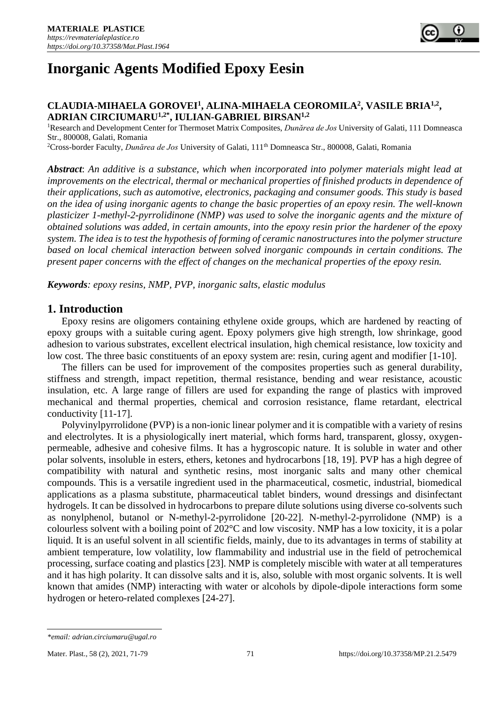# **Inorganic Agents Modified Epoxy Eesin**

#### **CLAUDIA-MIHAELA GOROVEI<sup>1</sup> , ALINA-MIHAELA CEOROMILA<sup>2</sup> , VASILE BRIA1,2 , ADRIAN CIRCIUMARU1,2\*, IULIAN-GABRIEL BIRSAN1,2**

<sup>1</sup>Research and Development Center for Thermoset Matrix Composites, *Dunărea de Jos* University of Galati, 111 Domneasca Str., 800008, Galati, Romania

<sup>2</sup>Cross-border Faculty, *Dunărea de Jos* University of Galati, 111<sup>th</sup> Domneasca Str., 800008, Galati, Romania

*Abstract*: *An additive is a substance, which when incorporated into polymer materials might lead at improvements on the electrical, thermal or mechanical properties of finished products in dependence of their applications, such as automotive, electronics, packaging and consumer goods. This study is based on the idea of using inorganic agents to change the basic properties of an epoxy resin. The well-known plasticizer 1-methyl-2-pyrrolidinone (NMP) was used to solve the inorganic agents and the mixture of obtained solutions was added, in certain amounts, into the epoxy resin prior the hardener of the epoxy system. The idea is to test the hypothesis of forming of ceramic nanostructures into the polymer structure based on local chemical interaction between solved inorganic compounds in certain conditions. The present paper concerns with the effect of changes on the mechanical properties of the epoxy resin.*

*Keywords: epoxy resins, NMP, PVP, inorganic salts, elastic modulus*

## **1. Introduction**

Epoxy resins are oligomers containing ethylene oxide groups, which are hardened by reacting of epoxy groups with a suitable curing agent. Epoxy polymers give high strength, low shrinkage, good adhesion to various substrates, excellent electrical insulation, high chemical resistance, low toxicity and low cost. The three basic constituents of an epoxy system are: resin, curing agent and modifier [1-10].

The fillers can be used for improvement of the composites properties such as general durability, stiffness and strength, impact repetition, thermal resistance, bending and wear resistance, acoustic insulation, etc. A large range of fillers are used for expanding the range of plastics with improved mechanical and thermal properties, chemical and corrosion resistance, flame retardant, electrical conductivity [11-17].

Polyvinylpyrrolidone (PVP) is a non-ionic linear polymer and it is compatible with a variety of resins and electrolytes. It is a physiologically inert material, which forms hard, transparent, glossy, oxygenpermeable, adhesive and cohesive films. It has a hygroscopic nature. It is soluble in water and other polar solvents, insoluble in esters, ethers, ketones and hydrocarbons [18, 19]. PVP has a high degree of compatibility with natural and synthetic resins, most inorganic salts and many other chemical compounds. This is a versatile ingredient used in the pharmaceutical, cosmetic, industrial, biomedical applications as a plasma substitute, pharmaceutical tablet binders, wound dressings and disinfectant hydrogels. It can be dissolved in hydrocarbons to prepare dilute solutions using diverse co-solvents such as nonylphenol, butanol or N-methyl-2-pyrrolidone [20-22]. N-methyl-2-pyrrolidone (NMP) is a colourless solvent with a boiling point of 202°C and low viscosity. NMP has a low toxicity, it is a polar liquid. It is an useful solvent in all scientific fields, mainly, due to its advantages in terms of stability at ambient temperature, low volatility, low flammability and industrial use in the field of petrochemical processing, surface coating and plastics [23]. NMP is completely miscible with water at all temperatures and it has high polarity. It can dissolve salts and it is, also, soluble with most organic solvents. It is well known that amides (NMP) interacting with water or alcohols by dipole-dipole interactions form some hydrogen or hetero-related complexes [24-27].

*<sup>\*</sup>email: adrian.circiumaru@ugal.ro*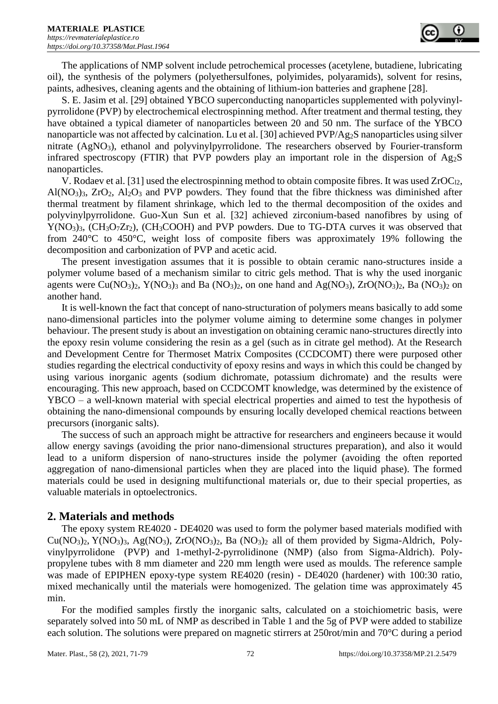The applications of NMP solvent include petrochemical processes (acetylene, butadiene, lubricating oil), the synthesis of the polymers (polyethersulfones, polyimides, polyaramids), solvent for resins, paints, adhesives, cleaning agents and the obtaining of lithium-ion batteries and graphene [28].

S. E. Jasim et al. [29] obtained YBCO superconducting nanoparticles supplemented with polyvinylpyrrolidone (PVP) by electrochemical electrospinning method. After treatment and thermal testing, they have obtained a typical diameter of nanoparticles between 20 and 50 nm. The surface of the YBCO nanoparticle was not affected by calcination. Lu et al. [30] achieved PVP/Ag2S nanoparticles using silver nitrate (AgNO3), ethanol and polyvinylpyrrolidone. The researchers observed by Fourier-transform infrared spectroscopy (FTIR) that PVP powders play an important role in the dispersion of Ag2S nanoparticles.

V. Rodaev et al. [31] used the electrospinning method to obtain composite fibres. It was used  $ZrOC<sub>12</sub>$ , Al( $NO<sub>3</sub>$ )<sub>3</sub>,  $ZrO<sub>2</sub>$ , Al<sub>2</sub> $O<sub>3</sub>$  and PVP powders. They found that the fibre thickness was diminished after thermal treatment by filament shrinkage, which led to the thermal decomposition of the oxides and polyvinylpyrrolidone. Guo-Xun Sun et al. [32] achieved zirconium-based nanofibres by using of Y(NO3)3, (CH3O7Zr2), (CH3COOH) and PVP powders. Due to TG-DTA curves it was observed that from 240°C to 450°C, weight loss of composite fibers was approximately 19% following the decomposition and carbonization of PVP and acetic acid.

The present investigation assumes that it is possible to obtain ceramic nano-structures inside a polymer volume based of a mechanism similar to citric gels method. That is why the used inorganic agents were Cu(NO<sub>3</sub>)<sub>2</sub>, Y(NO<sub>3</sub>)<sub>3</sub> and Ba (NO<sub>3</sub>)<sub>2</sub>, on one hand and Ag(NO<sub>3</sub>), ZrO(NO<sub>3</sub>)<sub>2</sub>, Ba (NO<sub>3</sub>)<sub>2</sub> on another hand.

It is well-known the fact that concept of nano-structuration of polymers means basically to add some nano-dimensional particles into the polymer volume aiming to determine some changes in polymer behaviour. The present study is about an investigation on obtaining ceramic nano-structures directly into the epoxy resin volume considering the resin as a gel (such as in citrate gel method). At the Research and Development Centre for Thermoset Matrix Composites (CCDCOMT) there were purposed other studies regarding the electrical conductivity of epoxy resins and ways in which this could be changed by using various inorganic agents (sodium dichromate, potassium dichromate) and the results were encouraging. This new approach, based on CCDCOMT knowledge, was determined by the existence of YBCO – a well-known material with special electrical properties and aimed to test the hypothesis of obtaining the nano-dimensional compounds by ensuring locally developed chemical reactions between precursors (inorganic salts).

The success of such an approach might be attractive for researchers and engineers because it would allow energy savings (avoiding the prior nano-dimensional structures preparation), and also it would lead to a uniform dispersion of nano-structures inside the polymer (avoiding the often reported aggregation of nano-dimensional particles when they are placed into the liquid phase). The formed materials could be used in designing multifunctional materials or, due to their special properties, as valuable materials in optoelectronics.

## **2. Materials and methods**

The epoxy system RE4020 - DE4020 was used to form the polymer based materials modified with  $Cu(NO<sub>3</sub>)<sub>2</sub>$ , Y(NO<sub>3</sub>)<sub>3</sub>, Ag(NO<sub>3</sub>), ZrO(NO<sub>3</sub>)<sub>2</sub>, Ba (NO<sub>3</sub>)<sub>2</sub> all of them provided by Sigma-Aldrich, Polyvinylpyrrolidone (PVP) and 1-methyl-2-pyrrolidinone (NMP) (also from Sigma-Aldrich). Polypropylene tubes with 8 mm diameter and 220 mm length were used as moulds. The reference sample was made of EPIPHEN epoxy-type system RE4020 (resin) - DE4020 (hardener) with 100:30 ratio, mixed mechanically until the materials were homogenized. The gelation time was approximately 45 min.

For the modified samples firstly the inorganic salts, calculated on a stoichiometric basis, were separately solved into 50 mL of NMP as described in Table 1 and the 5g of PVP were added to stabilize each solution. The solutions were prepared on magnetic stirrers at 250rot/min and 70°C during a period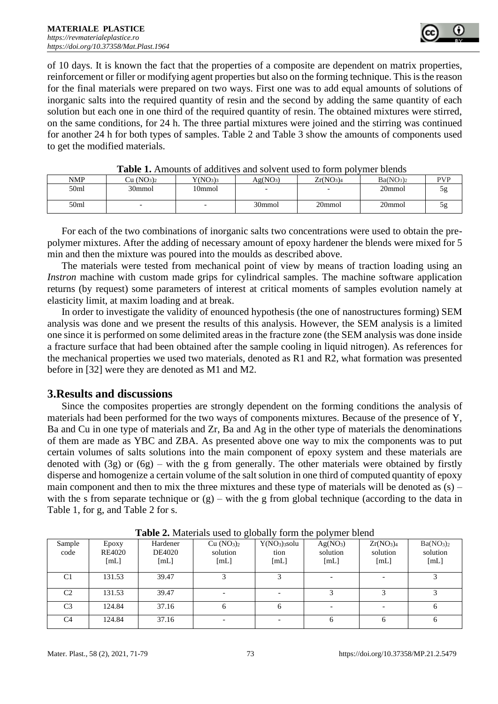of 10 days. It is known the fact that the properties of a composite are dependent on matrix properties, reinforcement or filler or modifying agent properties but also on the forming technique. This is the reason for the final materials were prepared on two ways. First one was to add equal amounts of solutions of inorganic salts into the required quantity of resin and the second by adding the same quantity of each solution but each one in one third of the required quantity of resin. The obtained mixtures were stirred, on the same conditions, for 24 h. The three partial mixtures were joined and the stirring was continued for another 24 h for both types of samples. Table 2 and Table 3 show the amounts of components used to get the modified materials.

| THEIR TO THIS CHILD AND THE COMMON SOLUTING AND TO THE LOT THIS LOTING. |                                    |                                  |                      |                                   |                                   |    |  |  |
|-------------------------------------------------------------------------|------------------------------------|----------------------------------|----------------------|-----------------------------------|-----------------------------------|----|--|--|
| NMP                                                                     | Cu (NO <sub>3</sub> ) <sub>2</sub> | Y(NO <sub>3</sub> ) <sub>3</sub> | Ag(NO <sub>3</sub> ) | Zr(NO <sub>3</sub> ) <sub>4</sub> | Ba(NO <sub>3</sub> ) <sub>2</sub> | VP |  |  |
| 50ml                                                                    | 30mmol                             | 10mmol                           |                      | -                                 | 20mmol                            | эg |  |  |
| 50ml                                                                    |                                    | $\overline{\phantom{0}}$         | 30mmol               | 20mmol                            | 20mmol                            | эg |  |  |

**Table 1.** Amounts of additives and solvent used to form polymer blends

For each of the two combinations of inorganic salts two concentrations were used to obtain the prepolymer mixtures. After the adding of necessary amount of epoxy hardener the blends were mixed for 5 min and then the mixture was poured into the moulds as described above.

The materials were tested from mechanical point of view by means of traction loading using an *Instron* machine with custom made grips for cylindrical samples. The machine software application returns (by request) some parameters of interest at critical moments of samples evolution namely at elasticity limit, at maxim loading and at break.

In order to investigate the validity of enounced hypothesis (the one of nanostructures forming) SEM analysis was done and we present the results of this analysis. However, the SEM analysis is a limited one since it is performed on some delimited areas in the fracture zone (the SEM analysis was done inside a fracture surface that had been obtained after the sample cooling in liquid nitrogen). As references for the mechanical properties we used two materials, denoted as R1 and R2, what formation was presented before in [32] were they are denoted as M1 and M2.

## **3.Results and discussions**

Since the composites properties are strongly dependent on the forming conditions the analysis of materials had been performed for the two ways of components mixtures. Because of the presence of Y, Ba and Cu in one type of materials and Zr, Ba and Ag in the other type of materials the denominations of them are made as YBC and ZBA. As presented above one way to mix the components was to put certain volumes of salts solutions into the main component of epoxy system and these materials are denoted with (3g) or (6g) – with the g from generally. The other materials were obtained by firstly disperse and homogenize a certain volume of the salt solution in one third of computed quantity of epoxy main component and then to mix the three mixtures and these type of materials will be denoted as  $(s)$  – with the s from separate technique or  $(g)$  – with the g from global technique (according to the data in Table 1, for g, and Table 2 for s.

| <b>Table 2.</b> Materials asce to grobally form the polymer bient |                         |                            |                                                        |                                                       |                                          |                                                       |                                                       |  |
|-------------------------------------------------------------------|-------------------------|----------------------------|--------------------------------------------------------|-------------------------------------------------------|------------------------------------------|-------------------------------------------------------|-------------------------------------------------------|--|
| Sample<br>code                                                    | Epoxy<br>RE4020<br>[mL] | Hardener<br>DE4020<br>[mL] | Cu (NO <sub>3</sub> ) <sub>2</sub><br>solution<br>[mL] | Y(NO <sub>3</sub> ) <sub>3</sub> solu<br>tion<br>[mL] | Ag(NO <sub>3</sub> )<br>solution<br>[mL] | Zr(NO <sub>3</sub> ) <sub>4</sub><br>solution<br>[mL] | Ba(NO <sub>3</sub> ) <sub>2</sub><br>solution<br>[mL] |  |
| C <sub>1</sub>                                                    | 131.53                  | 39.47                      |                                                        |                                                       |                                          |                                                       |                                                       |  |
| C <sub>2</sub>                                                    | 131.53                  | 39.47                      |                                                        |                                                       |                                          |                                                       |                                                       |  |
| C <sub>3</sub>                                                    | 124.84                  | 37.16                      |                                                        |                                                       |                                          |                                                       |                                                       |  |
| C <sub>4</sub>                                                    | 124.84                  | 37.16                      |                                                        |                                                       |                                          | 6                                                     |                                                       |  |

**Table 2.** Materials used to globally form the polymer blend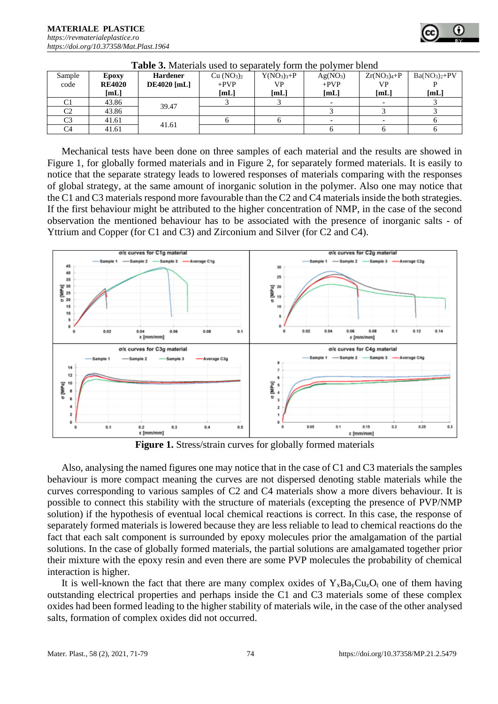| Sample<br>code | Epoxy<br><b>RE4020</b><br>[mL] | <b>Hardener</b><br><b>DE4020</b> [mL] | Cu (NO <sub>3</sub> ) <sub>2</sub><br>$+PVP$<br>[mL] | $Y(NO3)3+P$<br>VP<br>[mL] | Ag(NO <sub>3</sub> )<br>$+PVP$<br>[mL] | $Zr(NO3)4+P$<br>VP<br>[mL] | $Ba(NO3)2+PV$<br>$[{\bf mL}]$ |
|----------------|--------------------------------|---------------------------------------|------------------------------------------------------|---------------------------|----------------------------------------|----------------------------|-------------------------------|
|                | 43.86                          | 39.47                                 |                                                      |                           |                                        | $\overline{\phantom{0}}$   |                               |
| C2             | 43.86                          |                                       |                                                      |                           |                                        |                            |                               |
| C3             | 41.61                          | 41.61                                 |                                                      |                           |                                        |                            |                               |
| C4             | 41.61                          |                                       |                                                      |                           |                                        |                            |                               |

**Table 3.** Materials used to separately form the polymer blend

Mechanical tests have been done on three samples of each material and the results are showed in Figure 1, for globally formed materials and in Figure 2, for separately formed materials. It is easily to notice that the separate strategy leads to lowered responses of materials comparing with the responses of global strategy, at the same amount of inorganic solution in the polymer. Also one may notice that the C1 and C3 materials respond more favourable than the C2 and C4 materials inside the both strategies. If the first behaviour might be attributed to the higher concentration of NMP, in the case of the second observation the mentioned behaviour has to be associated with the presence of inorganic salts - of Yttrium and Copper (for C1 and C3) and Zirconium and Silver (for C2 and C4).



**Figure 1.** Stress/strain curves for globally formed materials

Also, analysing the named figures one may notice that in the case of C1 and C3 materials the samples behaviour is more compact meaning the curves are not dispersed denoting stable materials while the curves corresponding to various samples of C2 and C4 materials show a more divers behaviour. It is possible to connect this stability with the structure of materials (excepting the presence of PVP/NMP solution) if the hypothesis of eventual local chemical reactions is correct. In this case, the response of separately formed materials is lowered because they are less reliable to lead to chemical reactions do the fact that each salt component is surrounded by epoxy molecules prior the amalgamation of the partial solutions. In the case of globally formed materials, the partial solutions are amalgamated together prior their mixture with the epoxy resin and even there are some PVP molecules the probability of chemical interaction is higher.

It is well-known the fact that there are many complex oxides of  $Y_xBa_yCu_zO_t$  one of them having outstanding electrical properties and perhaps inside the C1 and C3 materials some of these complex oxides had been formed leading to the higher stability of materials wile, in the case of the other analysed salts, formation of complex oxides did not occurred.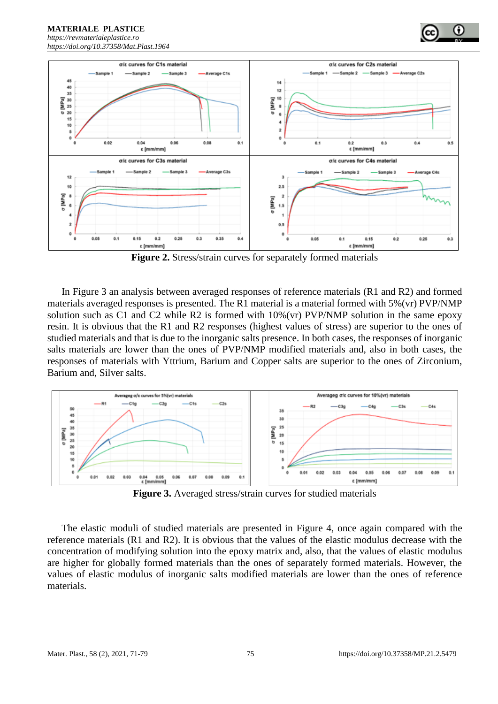*[https://revmaterialeplastice.ro](https://revmaterialeplastice.ro/) https://doi.org/10.37358/Mat.Plast.1964*

**MATERIALE PLASTICE** 



**Figure 2.** Stress/strain curves for separately formed materials

In Figure 3 an analysis between averaged responses of reference materials (R1 and R2) and formed materials averaged responses is presented. The R1 material is a material formed with 5%(vr) PVP/NMP solution such as C1 and C2 while R2 is formed with 10%(vr) PVP/NMP solution in the same epoxy resin. It is obvious that the R1 and R2 responses (highest values of stress) are superior to the ones of studied materials and that is due to the inorganic salts presence. In both cases, the responses of inorganic salts materials are lower than the ones of PVP/NMP modified materials and, also in both cases, the responses of materials with Yttrium, Barium and Copper salts are superior to the ones of Zirconium, Barium and, Silver salts.



**Figure 3.** Averaged stress/strain curves for studied materials

The elastic moduli of studied materials are presented in Figure 4, once again compared with the reference materials (R1 and R2). It is obvious that the values of the elastic modulus decrease with the concentration of modifying solution into the epoxy matrix and, also, that the values of elastic modulus are higher for globally formed materials than the ones of separately formed materials. However, the values of elastic modulus of inorganic salts modified materials are lower than the ones of reference materials.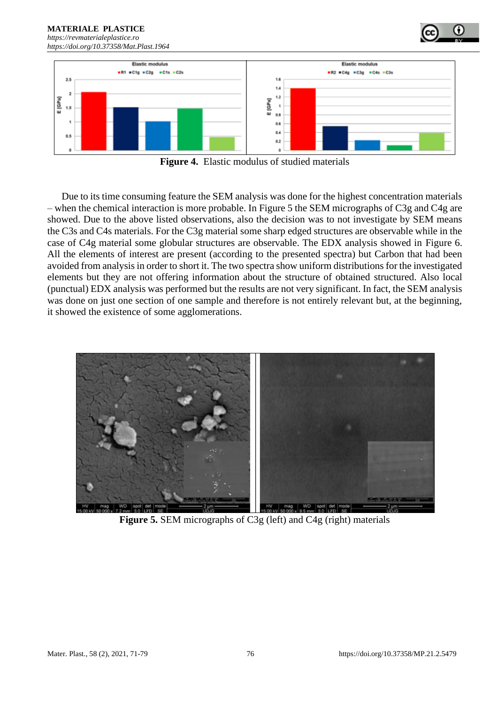**MATERIALE PLASTICE**  *[https://revmaterialeplastice.ro](https://revmaterialeplastice.ro/) https://doi.org/10.37358/Mat.Plast.1964*



**Figure 4.** Elastic modulus of studied materials

Due to its time consuming feature the SEM analysis was done for the highest concentration materials – when the chemical interaction is more probable. In Figure 5 the SEM micrographs of C3g and C4g are showed. Due to the above listed observations, also the decision was to not investigate by SEM means the C3s and C4s materials. For the C3g material some sharp edged structures are observable while in the case of C4g material some globular structures are observable. The EDX analysis showed in Figure 6. All the elements of interest are present (according to the presented spectra) but Carbon that had been avoided from analysis in order to short it. The two spectra show uniform distributions for the investigated elements but they are not offering information about the structure of obtained structured. Also local (punctual) EDX analysis was performed but the results are not very significant. In fact, the SEM analysis was done on just one section of one sample and therefore is not entirely relevant but, at the beginning, it showed the existence of some agglomerations.



**Figure 5.** SEM micrographs of C3g (left) and C4g (right) materials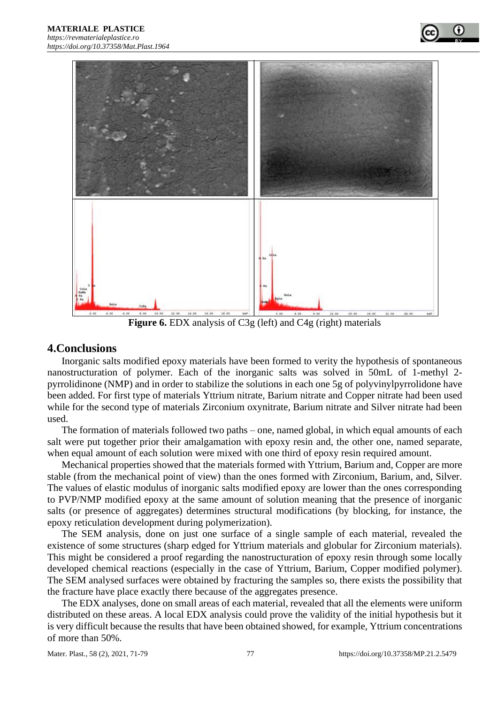

**Figure 6.** EDX analysis of C3g (left) and C4g (right) materials

## **4.Conclusions**

Inorganic salts modified epoxy materials have been formed to verity the hypothesis of spontaneous nanostructuration of polymer. Each of the inorganic salts was solved in 50mL of 1-methyl 2 pyrrolidinone (NMP) and in order to stabilize the solutions in each one 5g of polyvinylpyrrolidone have been added. For first type of materials Yttrium nitrate, Barium nitrate and Copper nitrate had been used while for the second type of materials Zirconium oxynitrate, Barium nitrate and Silver nitrate had been used.

The formation of materials followed two paths – one, named global, in which equal amounts of each salt were put together prior their amalgamation with epoxy resin and, the other one, named separate, when equal amount of each solution were mixed with one third of epoxy resin required amount.

Mechanical properties showed that the materials formed with Yttrium, Barium and, Copper are more stable (from the mechanical point of view) than the ones formed with Zirconium, Barium, and, Silver. The values of elastic modulus of inorganic salts modified epoxy are lower than the ones corresponding to PVP/NMP modified epoxy at the same amount of solution meaning that the presence of inorganic salts (or presence of aggregates) determines structural modifications (by blocking, for instance, the epoxy reticulation development during polymerization).

The SEM analysis, done on just one surface of a single sample of each material, revealed the existence of some structures (sharp edged for Yttrium materials and globular for Zirconium materials). This might be considered a proof regarding the nanostructuration of epoxy resin through some locally developed chemical reactions (especially in the case of Yttrium, Barium, Copper modified polymer). The SEM analysed surfaces were obtained by fracturing the samples so, there exists the possibility that the fracture have place exactly there because of the aggregates presence.

The EDX analyses, done on small areas of each material, revealed that all the elements were uniform distributed on these areas. A local EDX analysis could prove the validity of the initial hypothesis but it is very difficult because the results that have been obtained showed, for example, Yttrium concentrations of more than 50%.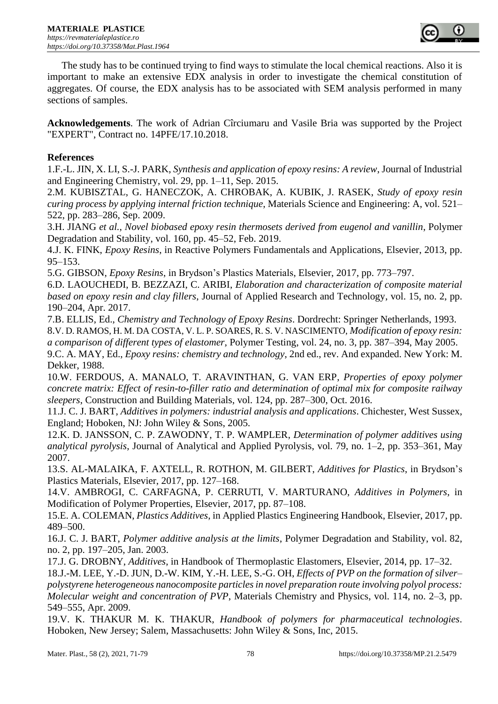

The study has to be continued trying to find ways to stimulate the local chemical reactions. Also it is important to make an extensive EDX analysis in order to investigate the chemical constitution of aggregates. Of course, the EDX analysis has to be associated with SEM analysis performed in many sections of samples.

**Acknowledgements**. The work of Adrian Cîrciumaru and Vasile Bria was supported by the Project "EXPERT", Contract no. 14PFE/17.10.2018.

## **References**

1.F.-L. JIN, X. LI, S.-J. PARK, *Synthesis and application of epoxy resins: A review*, Journal of Industrial and Engineering Chemistry, vol. 29, pp. 1–11, Sep. 2015.

2.M. KUBISZTAL, G. HANECZOK, A. CHROBAK, A. KUBIK, J. RASEK, *Study of epoxy resin curing process by applying internal friction technique*, Materials Science and Engineering: A, vol. 521– 522, pp. 283–286, Sep. 2009.

3.H. JIANG *et al.*, *Novel biobased epoxy resin thermosets derived from eugenol and vanillin*, Polymer Degradation and Stability, vol. 160, pp. 45–52, Feb. 2019.

4.J. K. FINK, *Epoxy Resins*, in Reactive Polymers Fundamentals and Applications, Elsevier, 2013, pp. 95–153.

5.G. GIBSON, *Epoxy Resins*, in Brydson's Plastics Materials, Elsevier, 2017, pp. 773–797.

6.D. LAOUCHEDI, B. BEZZAZI, C. ARIBI, *Elaboration and characterization of composite material based on epoxy resin and clay fillers*, Journal of Applied Research and Technology, vol. 15, no. 2, pp. 190–204, Apr. 2017.

7.B. ELLIS, Ed., *Chemistry and Technology of Epoxy Resins*. Dordrecht: Springer Netherlands, 1993. 8.V. D. RAMOS, H. M. DA COSTA, V. L. P. SOARES, R. S. V. NASCIMENTO, *Modification of epoxy resin: a comparison of different types of elastomer*, Polymer Testing, vol. 24, no. 3, pp. 387–394, May 2005. 9.C. A. MAY, Ed., *Epoxy resins: chemistry and technology*, 2nd ed., rev. And expanded. New York: M.

Dekker, 1988. 10.W. FERDOUS, A. MANALO, T. ARAVINTHAN, G. VAN ERP, *Properties of epoxy polymer* 

*concrete matrix: Effect of resin-to-filler ratio and determination of optimal mix for composite railway sleepers*, Construction and Building Materials, vol. 124, pp. 287–300, Oct. 2016.

11.J. C. J. BART, *Additives in polymers: industrial analysis and applications*. Chichester, West Sussex, England; Hoboken, NJ: John Wiley & Sons, 2005.

12.K. D. JANSSON, C. P. ZAWODNY, T. P. WAMPLER, *Determination of polymer additives using analytical pyrolysis*, Journal of Analytical and Applied Pyrolysis, vol. 79, no. 1–2, pp. 353–361, May 2007.

13.S. AL-MALAIKA, F. AXTELL, R. ROTHON, M. GILBERT, *Additives for Plastics*, in Brydson's Plastics Materials, Elsevier, 2017, pp. 127–168.

14.V. AMBROGI, C. CARFAGNA, P. CERRUTI, V. MARTURANO, *Additives in Polymers*, in Modification of Polymer Properties, Elsevier, 2017, pp. 87–108.

15.E. A. COLEMAN, *Plastics Additives*, in Applied Plastics Engineering Handbook, Elsevier, 2017, pp. 489–500.

16.J. C. J. BART, *Polymer additive analysis at the limits*, Polymer Degradation and Stability, vol. 82, no. 2, pp. 197–205, Jan. 2003.

17.J. G. DROBNY, *Additives*, in Handbook of Thermoplastic Elastomers, Elsevier, 2014, pp. 17–32.

18.J.-M. LEE, Y.-D. JUN, D.-W. KIM, Y.-H. LEE, S.-G. OH, *Effects of PVP on the formation of silver– polystyrene heterogeneous nanocomposite particles in novel preparation route involving polyol process: Molecular weight and concentration of PVP*, Materials Chemistry and Physics, vol. 114, no. 2–3, pp. 549–555, Apr. 2009.

19.V. K. THAKUR M. K. THAKUR, *Handbook of polymers for pharmaceutical technologies*. Hoboken, New Jersey; Salem, Massachusetts: John Wiley & Sons, Inc, 2015.